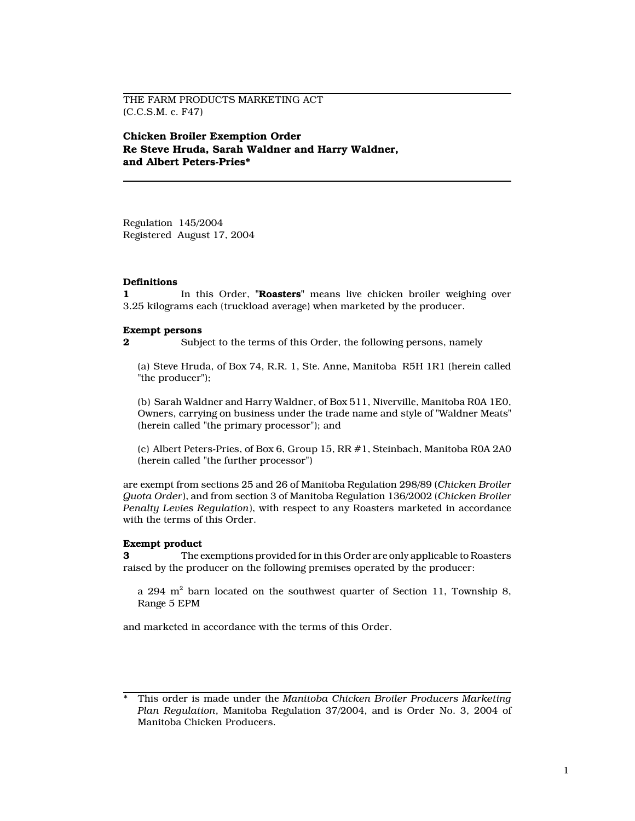THE FARM PRODUCTS MARKETING ACT (C.C.S.M. c. F47)

Chicken Broiler Exemption Order Re Steve Hruda, Sarah Waldner and Harry Waldner, and Albert Peters-Pries\*

Regulation 145/2004 Registered August 17, 2004

#### **Definitions**

1 In this Order, "Roasters" means live chicken broiler weighing over 3.25 kilograms each (truckload average) when marketed by the producer.

#### Exempt persons

2 Subject to the terms of this Order, the following persons, namely

(a) Steve Hruda, of Box 74, R.R. 1, Ste. Anne, Manitoba R5H 1R1 (herein called "the producer");

(b) Sarah Waldner and Harry Waldner, of Box 511, Niverville, Manitoba R0A 1E0, Owners, carrying on business under the trade name and style of "Waldner Meats" (herein called "the primary processor"); and

(c) Albert Peters-Pries, of Box 6, Group 15, RR #1, Steinbach, Manitoba R0A 2A0 (herein called "the further processor")

are exempt from sections 25 and 26 of Manitoba Regulation 298/89 (Chicken Broiler Quota Order), and from section 3 of Manitoba Regulation 136/2002 (Chicken Broiler Penalty Levies Regulation), with respect to any Roasters marketed in accordance with the terms of this Order.

#### Exempt product

3 The exemptions provided for in this Order are only applicable to Roasters raised by the producer on the following premises operated by the producer:

a 294  $\mathrm{m}^2$  barn located on the southwest quarter of Section 11, Township 8, Range 5 EPM

and marketed in accordance with the terms of this Order.

This order is made under the Manitoba Chicken Broiler Producers Marketing Plan Regulation, Manitoba Regulation 37/2004, and is Order No. 3, 2004 of Manitoba Chicken Producers.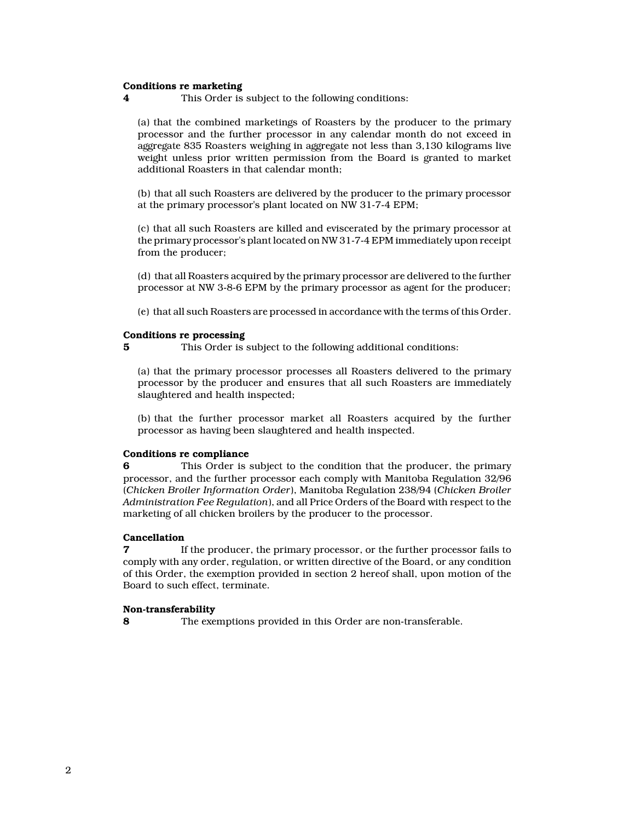### Conditions re marketing

4 This Order is subject to the following conditions:

(a) that the combined marketings of Roasters by the producer to the primary processor and the further processor in any calendar month do not exceed in aggregate 835 Roasters weighing in aggregate not less than 3,130 kilograms live weight unless prior written permission from the Board is granted to market additional Roasters in that calendar month;

(b) that all such Roasters are delivered by the producer to the primary processor at the primary processor's plant located on NW 31-7-4 EPM;

(c) that all such Roasters are killed and eviscerated by the primary processor at the primary processor's plant located on NW 31-7-4 EPM immediately upon receipt from the producer;

(d) that all Roasters acquired by the primary processor are delivered to the further processor at NW 3-8-6 EPM by the primary processor as agent for the producer;

(e) that all such Roasters are processed in accordance with the terms of this Order.

#### Conditions re processing

5 This Order is subject to the following additional conditions:

(a) that the primary processor processes all Roasters delivered to the primary processor by the producer and ensures that all such Roasters are immediately slaughtered and health inspected;

(b) that the further processor market all Roasters acquired by the further processor as having been slaughtered and health inspected.

#### Conditions re compliance

6 This Order is subject to the condition that the producer, the primary processor, and the further processor each comply with Manitoba Regulation 32/96 (Chicken Broiler Information Order), Manitoba Regulation 238/94 (Chicken Broiler Administration Fee Regulation), and all Price Orders of the Board with respect to the marketing of all chicken broilers by the producer to the processor.

### Cancellation

7 If the producer, the primary processor, or the further processor fails to comply with any order, regulation, or written directive of the Board, or any condition of this Order, the exemption provided in section 2 hereof shall, upon motion of the Board to such effect, terminate.

#### Non-transferability

8 The exemptions provided in this Order are non-transferable.